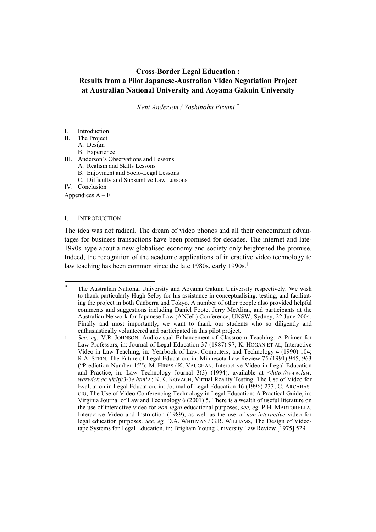# **Cross-Border Legal Education : Results from a Pilot Japanese-Australian Video Negotiation Project at Australian National University and Aoyama Gakuin University**

*Kent Anderson / Yoshinobu Eizumi [\\*](#page-0-0)*

# I. Introduction

- II. The Project
	- A. Design
	- B. Experience
- III. Anderson's Observations and Lessons
	- A. Realism and Skills Lessons
	- B. Enjoyment and Socio-Legal Lessons
	- C. Difficulty and Substantive Law Lessons

IV. Conclusion

Appendices  $A - E$ 

l

# I. INTRODUCTION

The idea was not radical. The dream of video phones and all their concomitant advantages for business transactions have been promised for decades. The internet and late-1990s hype about a new globalised economy and society only heightened the promise. Indeed, the recognition of the academic applications of interactive video technology to law teaching has been common since the late [1](#page-0-1)980s, early 1990s.<sup>1</sup>

<span id="page-0-0"></span>The Australian National University and Aoyama Gakuin University respectively. We wish to thank particularly Hugh Selby for his assistance in conceptualising, testing, and facilitating the project in both Canberra and Tokyo. A number of other people also provided helpful comments and suggestions including Daniel Foote, Jerry McAlinn, and participants at the Australian Network for Japanese Law (ANJeL) Conference, UNSW, Sydney, 22 June 2004. Finally and most importantly, we want to thank our students who so diligently and enthusiastically volunteered and participated in this pilot project.

<span id="page-0-1"></span><sup>1</sup> *See*, *eg*, V.R. JOHNSON, Audiovisual Enhancement of Classroom Teaching: A Primer for Law Professors, in: Journal of Legal Education 37 (1987) 97; K. HOGAN ET AL, Interactive Video in Law Teaching, in: Yearbook of Law, Computers, and Technology 4 (1990) 104; R.A. STEIN, The Future of Legal Education, in: Minnesota Law Review 75 (1991) 945, 963 ("Prediction Number 15"); M. HIBBS / K. VAUGHAN, Interactive Video in Legal Education and Practice, in: Law Technology Journal 3(3) (1994), available at *<http://www.law. warwick.ac.uk/ltj/3-3e.html>*; K.K. KOVACH, Virtual Reality Testing: The Use of Video for Evaluation in Legal Education, in: Journal of Legal Education 46 (1996) 233; C. ARCABAS-CIO, The Use of Video-Conferencing Technology in Legal Education: A Practical Guide, in: Virginia Journal of Law and Technology 6 (2001) 5. There is a wealth of useful literature on the use of interactive video for *non-legal* educational purposes, *see, eg,* P.H. MARTORELLA, Interactive Video and Instruction (1989), as well as the use of *non-interactive* video for legal education purposes. *See, eg,* D.A. WHITMAN / G.R. WILLIAMS, The Design of Videotape Systems for Legal Education, in: Brigham Young University Law Review [1975] 529.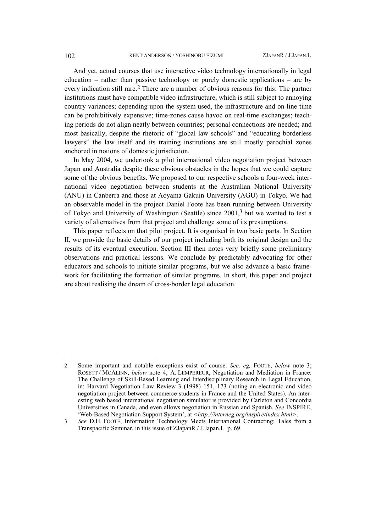And yet, actual courses that use interactive video technology internationally in legal education – rather than passive technology or purely domestic applications – are by every indication still rare[.2](#page-1-0) There are a number of obvious reasons for this: The partner institutions must have compatible video infrastructure, which is still subject to annoying country variances; depending upon the system used, the infrastructure and on-line time can be prohibitively expensive; time-zones cause havoc on real-time exchanges; teaching periods do not align neatly between countries; personal connections are needed; and most basically, despite the rhetoric of "global law schools" and "educating borderless lawyers" the law itself and its training institutions are still mostly parochial zones anchored in notions of domestic jurisdiction.

In May 2004, we undertook a pilot international video negotiation project between Japan and Australia despite these obvious obstacles in the hopes that we could capture some of the obvious benefits. We proposed to our respective schools a four-week international video negotiation between students at the Australian National University (ANU) in Canberra and those at Aoyama Gakuin University (AGU) in Tokyo. We had an observable model in the project Daniel Foote has been running between University of Tokyo and University of Washington (Seattle) since 2001[,3](#page-1-1) but we wanted to test a variety of alternatives from that project and challenge some of its presumptions.

This paper reflects on that pilot project. It is organised in two basic parts. In Section II, we provide the basic details of our project including both its original design and the results of its eventual execution. Section III then notes very briefly some preliminary observations and practical lessons. We conclude by predictably advocating for other educators and schools to initiate similar programs, but we also advance a basic framework for facilitating the formation of similar programs. In short, this paper and project are about realising the dream of cross-border legal education.

<span id="page-1-0"></span><sup>2</sup> Some important and notable exceptions exist of course. *See, eg,* FOOTE, *below* note 3; ROSETT / MCALINN, *below* note 4; A. LEMPEREUR, Negotiation and Mediation in France: The Challenge of Skill-Based Learning and Interdisciplinary Research in Legal Education, in: Harvard Negotiation Law Review 3 (1998) 151, 173 (noting an electronic and video negotiation project between commerce students in France and the United States). An interesting web based international negotiation simulator is provided by Carleton and Concordia Universities in Canada, and even allows negotiation in Russian and Spanish. *See* INSPIRE, 'Web-Based Negotiation Support System', at *<http://interneg.org/inspire/index.html>*.

<span id="page-1-1"></span><sup>3</sup> *See* D.H. FOOTE, Information Technology Meets International Contracting: Tales from a Transpacific Seminar, in this issue of ZJapanR / J.Japan.L. p. 69.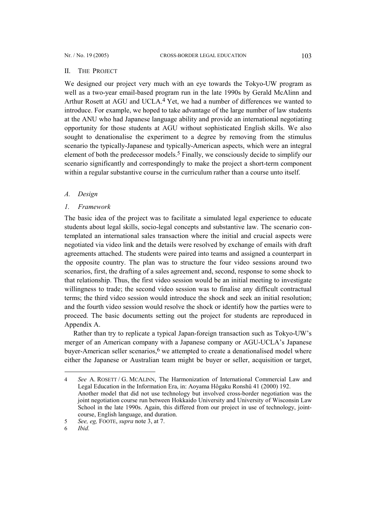# II. THE PROJECT

We designed our project very much with an eye towards the Tokyo-UW program as well as a two-year email-based program run in the late 1990s by Gerald McAlinn and Arthur Rosett at AGU and UCLA.<sup>4</sup> Yet, we had a number of differences we wanted to introduce. For example, we hoped to take advantage of the large number of law students at the ANU who had Japanese language ability and provide an international negotiating opportunity for those students at AGU without sophisticated English skills. We also sought to denationalise the experiment to a degree by removing from the stimulus scenario the typically-Japanese and typically-American aspects, which were an integral element of both the predecessor models.[5](#page-2-1) Finally, we consciously decide to simplify our scenario significantly and correspondingly to make the project a short-term component within a regular substantive course in the curriculum rather than a course unto itself.

# *A. Design*

# *1. Framework*

The basic idea of the project was to facilitate a simulated legal experience to educate students about legal skills, socio-legal concepts and substantive law. The scenario contemplated an international sales transaction where the initial and crucial aspects were negotiated via video link and the details were resolved by exchange of emails with draft agreements attached. The students were paired into teams and assigned a counterpart in the opposite country. The plan was to structure the four video sessions around two scenarios, first, the drafting of a sales agreement and, second, response to some shock to that relationship. Thus, the first video session would be an initial meeting to investigate willingness to trade; the second video session was to finalise any difficult contractual terms; the third video session would introduce the shock and seek an initial resolution; and the fourth video session would resolve the shock or identify how the parties were to proceed. The basic documents setting out the project for students are reproduced in Appendix A.

Rather than try to replicate a typical Japan-foreign transaction such as Tokyo-UW's merger of an American company with a Japanese company or AGU-UCLA's Japanese buyer-American seller scenarios, $6$  we attempted to create a denationalised model where either the Japanese or Australian team might be buyer or seller, acquisition or target,

<span id="page-2-0"></span><sup>4</sup> *See* A. ROSETT / G. MCALINN, The Harmonization of International Commercial Law and Legal Education in the Information Era, in: Aoyama Hôgaku Ronshû 41 (2000) 192. Another model that did not use technology but involved cross-border negotiation was the joint negotiation course run between Hokkaido University and University of Wisconsin Law School in the late 1990s. Again, this differed from our project in use of technology, jointcourse, English language, and duration.

<span id="page-2-1"></span><sup>5</sup> *See, eg,* FOOTE, *supra* note 3, at 7.

<span id="page-2-2"></span><sup>6</sup> *Ibid.*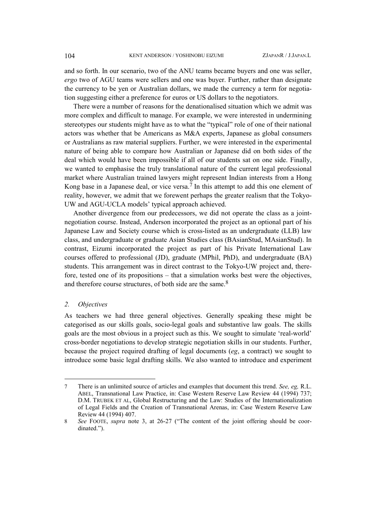and so forth. In our scenario, two of the ANU teams became buyers and one was seller, *ergo* two of AGU teams were sellers and one was buyer. Further, rather than designate the currency to be yen or Australian dollars, we made the currency a term for negotiation suggesting either a preference for euros or US dollars to the negotiators.

There were a number of reasons for the denationalised situation which we admit was more complex and difficult to manage. For example, we were interested in undermining stereotypes our students might have as to what the "typical" role of one of their national actors was whether that be Americans as M&A experts, Japanese as global consumers or Australians as raw material suppliers. Further, we were interested in the experimental nature of being able to compare how Australian or Japanese did on both sides of the deal which would have been impossible if all of our students sat on one side. Finally, we wanted to emphasise the truly translational nature of the current legal professional market where Australian trained lawyers might represent Indian interests from a Hong Kong base in a Japanese deal, or vice versa.<sup>[7](#page-3-0)</sup> In this attempt to add this one element of reality, however, we admit that we forewent perhaps the greater realism that the Tokyo-UW and AGU-UCLA models' typical approach achieved.

Another divergence from our predecessors, we did not operate the class as a jointnegotiation course. Instead, Anderson incorporated the project as an optional part of his Japanese Law and Society course which is cross-listed as an undergraduate (LLB) law class, and undergraduate or graduate Asian Studies class (BAsianStud, MAsianStud). In contrast, Eizumi incorporated the project as part of his Private International Law courses offered to professional (JD), graduate (MPhil, PhD), and undergraduate (BA) students. This arrangement was in direct contrast to the Tokyo-UW project and, therefore, tested one of its propositions – that a simulation works best were the objectives, and therefore course structures, of both side are the same.<sup>[8](#page-3-1)</sup>

# *2. Objectives*

l

As teachers we had three general objectives. Generally speaking these might be categorised as our skills goals, socio-legal goals and substantive law goals. The skills goals are the most obvious in a project such as this. We sought to simulate 'real-world' cross-border negotiations to develop strategic negotiation skills in our students. Further, because the project required drafting of legal documents (*eg*, a contract) we sought to introduce some basic legal drafting skills. We also wanted to introduce and experiment

<span id="page-3-0"></span><sup>7</sup> There is an unlimited source of articles and examples that document this trend. *See, eg,* R.L. ABEL, Transnational Law Practice, in: Case Western Reserve Law Review 44 (1994) 737; D.M. TRUBEK ET AL, Global Restructuring and the Law: Studies of the Internationalization of Legal Fields and the Creation of Transnational Arenas, in: Case Western Reserve Law Review 44 (1994) 407.

<span id="page-3-1"></span><sup>8</sup> *See* FOOTE, *supra* note 3, at 26-27 ("The content of the joint offering should be coordinated.").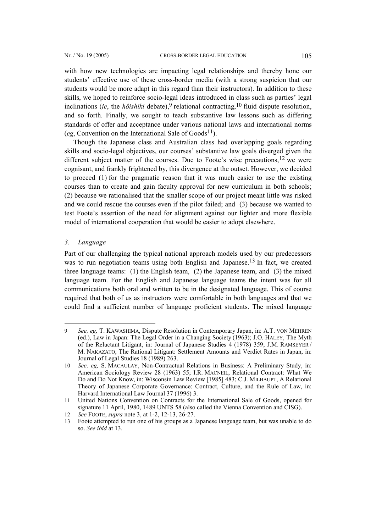with how new technologies are impacting legal relationships and thereby hone our students' effective use of these cross-border media (with a strong suspicion that our students would be more adapt in this regard than their instructors). In addition to these skills, we hoped to reinforce socio-legal ideas introduced in class such as parties' legal inclinations (*ie*, the *hôishiki* debate),<sup>9</sup> relational contracting,<sup>[10](#page-4-1)</sup> fluid dispute resolution, and so forth. Finally, we sought to teach substantive law lessons such as differing standards of offer and acceptance under various national laws and international norms

Though the Japanese class and Australian class had overlapping goals regarding skills and socio-legal objectives, our courses' substantive law goals diverged given the different subject matter of the courses. Due to Foote's wise precautions,  $12$  we were cognisant, and frankly frightened by, this divergence at the outset. However, we decided to proceed (1) for the pragmatic reason that it was much easier to use the existing courses than to create and gain faculty approval for new curriculum in both schools; (2) because we rationalised that the smaller scope of our project meant little was risked and we could rescue the courses even if the pilot failed; and (3) because we wanted to test Foote's assertion of the need for alignment against our lighter and more flexible model of international cooperation that would be easier to adopt elsewhere.

(*eg*, Convention on the International Sale of  $Goods<sup>11</sup>$ ).

### *3. Language*

 $\overline{a}$ 

Part of our challenging the typical national approach models used by our predecessors was to run negotiation teams using both English and Japanese.<sup>[13](#page-4-4)</sup> In fact, we created three language teams: (1) the English team, (2) the Japanese team, and (3) the mixed language team. For the English and Japanese language teams the intent was for all communications both oral and written to be in the designated language. This of course required that both of us as instructors were comfortable in both languages and that we could find a sufficient number of language proficient students. The mixed language

<span id="page-4-0"></span><sup>9</sup> *See, eg,* T. KAWASHIMA, Dispute Resolution in Contemporary Japan, in: A.T. VON MEHREN (ed.), Law in Japan: The Legal Order in a Changing Society (1963); J.O. HALEY, The Myth of the Reluctant Litigant, in: Journal of Japanese Studies 4 (1978) 359; J.M. RAMSEYER / M. NAKAZATO, The Rational Litigant: Settlement Amounts and Verdict Rates in Japan, in: Journal of Legal Studies 18 (1989) 263.

<span id="page-4-1"></span><sup>10</sup> *See, eg,* S. MACAULAY, Non-Contractual Relations in Business: A Preliminary Study, in: American Sociology Review 28 (1963) 55; I.R. MACNEIL, Relational Contract: What We Do and Do Not Know, in: Wisconsin Law Review [1985] 483; C.J. MILHAUPT, A Relational Theory of Japanese Corporate Governance: Contract, Culture, and the Rule of Law, in: Harvard International Law Journal 37 (1996) 3.

<span id="page-4-2"></span><sup>11</sup> United Nations Convention on Contracts for the International Sale of Goods, opened for signature 11 April, 1980, 1489 UNTS 58 (also called the Vienna Convention and CISG).

<span id="page-4-3"></span><sup>12</sup> *See* FOOTE, *supra* note 3, at 1-2, 12-13, 26-27.

<span id="page-4-4"></span><sup>13</sup> Foote attempted to run one of his groups as a Japanese language team, but was unable to do so. *See ibid* at 13.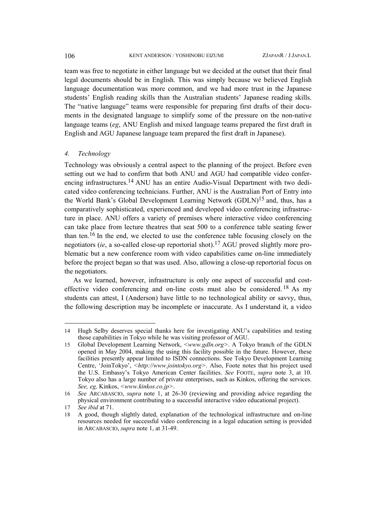team was free to negotiate in either language but we decided at the outset that their final legal documents should be in English. This was simply because we believed English language documentation was more common, and we had more trust in the Japanese students' English reading skills than the Australian students' Japanese reading skills. The "native language" teams were responsible for preparing first drafts of their documents in the designated language to simplify some of the pressure on the non-native language teams (*eg*, ANU English and mixed language teams prepared the first draft in English and AGU Japanese language team prepared the first draft in Japanese).

# *4. Technology*

Technology was obviously a central aspect to the planning of the project. Before even setting out we had to confirm that both ANU and AGU had compatible video conferencing infrastructures.[14](#page-5-0) ANU has an entire Audio-Visual Department with two dedicated video conferencing technicians. Further, ANU is the Australian Port of Entry into the World Bank's Global Development Learning Network (GDLN)[15](#page-5-1) and, thus, has a comparatively sophisticated, experienced and developed video conferencing infrastructure in place. ANU offers a variety of premises where interactive video conferencing can take place from lecture theatres that seat 500 to a conference table seating fewer than ten.[16](#page-5-2) In the end, we elected to use the conference table focusing closely on the negotiators (*ie*, a so-called close-up reportorial shot).[17](#page-5-3) AGU proved slightly more problematic but a new conference room with video capabilities came on-line immediately before the project began so that was used. Also, allowing a close-up reportorial focus on the negotiators.

As we learned, however, infrastructure is only one aspect of successful and costeffective video conferencing and on-line costs must also be considered. [18](#page-5-4) As my students can attest, I (Anderson) have little to no technological ability or savvy, thus, the following description may be incomplete or inaccurate. As I understand it, a video

 $\overline{a}$ 

<span id="page-5-0"></span><sup>14</sup> Hugh Selby deserves special thanks here for investigating ANU's capabilities and testing those capabilities in Tokyo while he was visiting professor of AGU.

<span id="page-5-1"></span><sup>15</sup> Global Development Learning Network, *<www.gdln.org>*. A Tokyo branch of the GDLN opened in May 2004, making the using this facility possible in the future. However, these facilities presently appear limited to ISDN connections. See Tokyo Development Learning Centre, 'JoinTokyo', *<http://www.jointokyo.org>*. Also, Foote notes that his project used the U.S. Embassy's Tokyo American Center facilities. *See* FOOTE, *supra* note 3, at 10. Tokyo also has a large number of private enterprises, such as Kinkos, offering the services. *See, eg,* Kinkos, *<www.kinkos.co.jp>*.

<span id="page-5-2"></span><sup>16</sup> *See* ARCABASCIO, *supra* note 1, at 26-30 (reviewing and providing advice regarding the physical environment contributing to a successful interactive video educational project).

<span id="page-5-3"></span><sup>17</sup> *See ibid* at 71.

<span id="page-5-4"></span><sup>18</sup> A good, though slightly dated, explanation of the technological infrastructure and on-line resources needed for successful video conferencing in a legal education setting is provided in ARCABASCIO, *supra* note 1, at 31-49.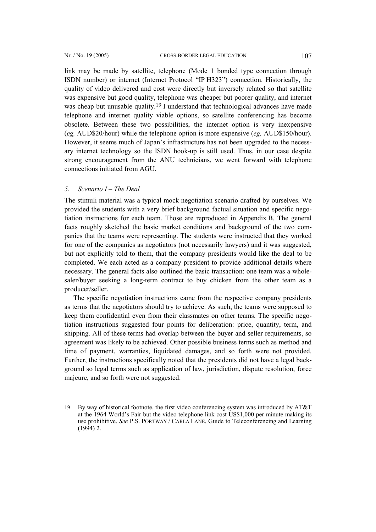link may be made by satellite, telephone (Mode 1 bonded type connection through ISDN number) or internet (Internet Protocol "IP H323") connection. Historically, the quality of video delivered and cost were directly but inversely related so that satellite was expensive but good quality, telephone was cheaper but poorer quality, and internet was cheap but unusable quality.<sup>[19](#page-6-0)</sup> I understand that technological advances have made telephone and internet quality viable options, so satellite conferencing has become obsolete. Between these two possibilities, the internet option is very inexpensive (*eg,* AUD\$20/hour) while the telephone option is more expensive (*eg,* AUD\$150/hour). However, it seems much of Japan's infrastructure has not been upgraded to the necessary internet technology so the ISDN hook-up is still used. Thus, in our case despite strong encouragement from the ANU technicians, we went forward with telephone connections initiated from AGU.

# *5. Scenario I – The Deal*

l

The stimuli material was a typical mock negotiation scenario drafted by ourselves. We provided the students with a very brief background factual situation and specific negotiation instructions for each team. Those are reproduced in Appendix B. The general facts roughly sketched the basic market conditions and background of the two companies that the teams were representing. The students were instructed that they worked for one of the companies as negotiators (not necessarily lawyers) and it was suggested, but not explicitly told to them, that the company presidents would like the deal to be completed. We each acted as a company president to provide additional details where necessary. The general facts also outlined the basic transaction: one team was a wholesaler/buyer seeking a long-term contract to buy chicken from the other team as a producer/seller.

The specific negotiation instructions came from the respective company presidents as terms that the negotiators should try to achieve. As such, the teams were supposed to keep them confidential even from their classmates on other teams. The specific negotiation instructions suggested four points for deliberation: price, quantity, term, and shipping. All of these terms had overlap between the buyer and seller requirements, so agreement was likely to be achieved. Other possible business terms such as method and time of payment, warranties, liquidated damages, and so forth were not provided. Further, the instructions specifically noted that the presidents did not have a legal background so legal terms such as application of law, jurisdiction, dispute resolution, force majeure, and so forth were not suggested.

<span id="page-6-0"></span><sup>19</sup> By way of historical footnote, the first video conferencing system was introduced by AT&T at the 1964 World's Fair but the video telephone link cost US\$1,000 per minute making its use prohibitive. *See* P.S. PORTWAY / CARLA LANE, Guide to Teleconferencing and Learning  $(1994)$  2.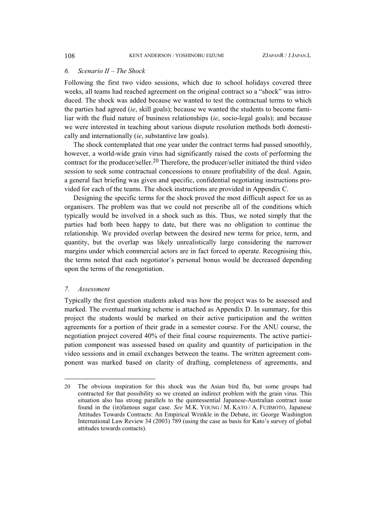# *6. Scenario II – The Shock*

Following the first two video sessions, which due to school holidays covered three weeks, all teams had reached agreement on the original contract so a "shock" was introduced. The shock was added because we wanted to test the contractual terms to which the parties had agreed (*ie*, skill goals); because we wanted the students to become familiar with the fluid nature of business relationships (*ie*, socio-legal goals); and because we were interested in teaching about various dispute resolution methods both domestically and internationally (*ie*, substantive law goals).

The shock contemplated that one year under the contract terms had passed smoothly, however, a world-wide grain virus had significantly raised the costs of performing the contract for the producer/seller.[20](#page-7-0) Therefore, the producer/seller initiated the third video session to seek some contractual concessions to ensure profitability of the deal. Again, a general fact briefing was given and specific, confidential negotiating instructions provided for each of the teams. The shock instructions are provided in Appendix C.

Designing the specific terms for the shock proved the most difficult aspect for us as organisers. The problem was that we could not prescribe all of the conditions which typically would be involved in a shock such as this. Thus, we noted simply that the parties had both been happy to date, but there was no obligation to continue the relationship. We provided overlap between the desired new terms for price, term, and quantity, but the overlap was likely unrealistically large considering the narrower margins under which commercial actors are in fact forced to operate. Recognising this, the terms noted that each negotiator's personal bonus would be decreased depending upon the terms of the renegotiation.

# *7. Assessment*

l

Typically the first question students asked was how the project was to be assessed and marked. The eventual marking scheme is attached as Appendix D. In summary, for this project the students would be marked on their active participation and the written agreements for a portion of their grade in a semester course. For the ANU course, the negotiation project covered 40% of their final course requirements. The active participation component was assessed based on quality and quantity of participation in the video sessions and in email exchanges between the teams. The written agreement component was marked based on clarity of drafting, completeness of agreements, and

<span id="page-7-0"></span><sup>20</sup> The obvious inspiration for this shock was the Asian bird flu, but some groups had contracted for that possibility so we created an indirect problem with the grain virus. This situation also has strong parallels to the quintessential Japanese-Australian contract issue found in the (in)famous sugar case. *See* M.K. YOUNG / M. KATO / A. FUJIMOTO, Japanese Attitudes Towards Contracts: An Empirical Wrinkle in the Debate, in: George Washington International Law Review 34 (2003) 789 (using the case as basis for Kato's survey of global attitudes towards contacts).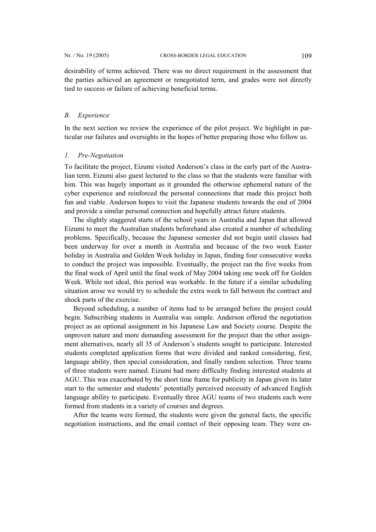desirability of terms achieved. There was no direct requirement in the assessment that the parties achieved an agreement or renegotiated term, and grades were not directly tied to success or failure of achieving beneficial terms.

# *B. Experience*

In the next section we review the experience of the pilot project. We highlight in particular our failures and oversights in the hopes of better preparing those who follow us.

# *1. Pre-Negotiation*

To facilitate the project, Eizumi visited Anderson's class in the early part of the Australian term. Eizumi also guest lectured to the class so that the students were familiar with him. This was hugely important as it grounded the otherwise ephemeral nature of the cyber experience and reinforced the personal connections that made this project both fun and viable. Anderson hopes to visit the Japanese students towards the end of 2004 and provide a similar personal connection and hopefully attract future students.

The slightly staggered starts of the school years in Australia and Japan that allowed Eizumi to meet the Australian students beforehand also created a number of scheduling problems. Specifically, because the Japanese semester did not begin until classes had been underway for over a month in Australia and because of the two week Easter holiday in Australia and Golden Week holiday in Japan, finding four consecutive weeks to conduct the project was impossible. Eventually, the project ran the five weeks from the final week of April until the final week of May 2004 taking one week off for Golden Week. While not ideal, this period was workable. In the future if a similar scheduling situation arose we would try to schedule the extra week to fall between the contract and shock parts of the exercise.

Beyond scheduling, a number of items had to be arranged before the project could begin. Subscribing students in Australia was simple. Anderson offered the negotiation project as an optional assignment in his Japanese Law and Society course. Despite the unproven nature and more demanding assessment for the project than the other assignment alternatives, nearly all 35 of Anderson's students sought to participate. Interested students completed application forms that were divided and ranked considering, first, language ability, then special consideration, and finally random selection. Three teams of three students were named. Eizumi had more difficulty finding interested students at AGU. This was exacerbated by the short time frame for publicity in Japan given its later start to the semester and students' potentially perceived necessity of advanced English language ability to participate. Eventually three AGU teams of two students each were formed from students in a variety of courses and degrees.

After the teams were formed, the students were given the general facts, the specific negotiation instructions, and the email contact of their opposing team. They were en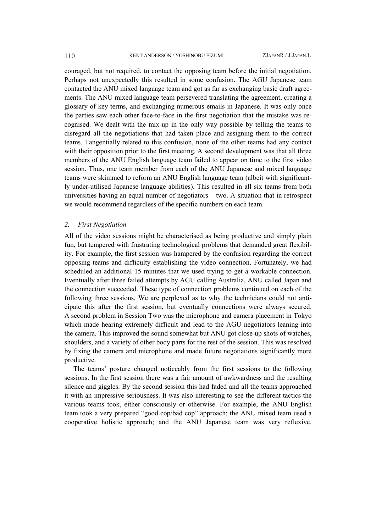couraged, but not required, to contact the opposing team before the initial negotiation. Perhaps not unexpectedly this resulted in some confusion. The AGU Japanese team contacted the ANU mixed language team and got as far as exchanging basic draft agreements. The ANU mixed language team persevered translating the agreement, creating a glossary of key terms, and exchanging numerous emails in Japanese. It was only once the parties saw each other face-to-face in the first negotiation that the mistake was recognised. We dealt with the mix-up in the only way possible by telling the teams to disregard all the negotiations that had taken place and assigning them to the correct teams. Tangentially related to this confusion, none of the other teams had any contact with their opposition prior to the first meeting. A second development was that all three members of the ANU English language team failed to appear on time to the first video session. Thus, one team member from each of the ANU Japanese and mixed language teams were skimmed to reform an ANU English language team (albeit with significantly under-utilised Japanese language abilities). This resulted in all six teams from both universities having an equal number of negotiators – two. A situation that in retrospect we would recommend regardless of the specific numbers on each team.

# *2. First Negotiation*

All of the video sessions might be characterised as being productive and simply plain fun, but tempered with frustrating technological problems that demanded great flexibility. For example, the first session was hampered by the confusion regarding the correct opposing teams and difficulty establishing the video connection. Fortunately, we had scheduled an additional 15 minutes that we used trying to get a workable connection. Eventually after three failed attempts by AGU calling Australia, ANU called Japan and the connection succeeded. These type of connection problems continued on each of the following three sessions. We are perplexed as to why the technicians could not anticipate this after the first session, but eventually connections were always secured. A second problem in Session Two was the microphone and camera placement in Tokyo which made hearing extremely difficult and lead to the AGU negotiators leaning into the camera. This improved the sound somewhat but ANU got close-up shots of watches, shoulders, and a variety of other body parts for the rest of the session. This was resolved by fixing the camera and microphone and made future negotiations significantly more productive.

The teams' posture changed noticeably from the first sessions to the following sessions. In the first session there was a fair amount of awkwardness and the resulting silence and giggles. By the second session this had faded and all the teams approached it with an impressive seriousness. It was also interesting to see the different tactics the various teams took, either consciously or otherwise. For example, the ANU English team took a very prepared "good cop/bad cop" approach; the ANU mixed team used a cooperative holistic approach; and the ANU Japanese team was very reflexive.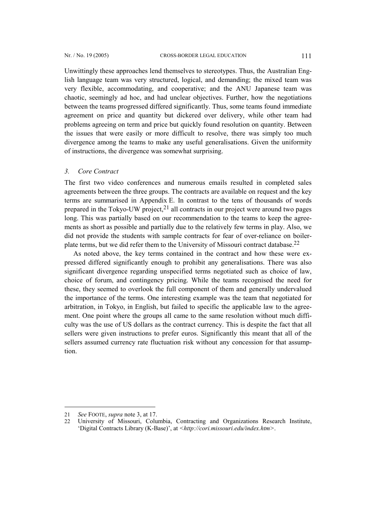Unwittingly these approaches lend themselves to stereotypes. Thus, the Australian English language team was very structured, logical, and demanding; the mixed team was very flexible, accommodating, and cooperative; and the ANU Japanese team was chaotic, seemingly ad hoc, and had unclear objectives. Further, how the negotiations between the teams progressed differed significantly. Thus, some teams found immediate agreement on price and quantity but dickered over delivery, while other team had problems agreeing on term and price but quickly found resolution on quantity. Between the issues that were easily or more difficult to resolve, there was simply too much divergence among the teams to make any useful generalisations. Given the uniformity of instructions, the divergence was somewhat surprising.

# *3. Core Contract*

The first two video conferences and numerous emails resulted in completed sales agreements between the three groups. The contracts are available on request and the key terms are summarised in Appendix E. In contrast to the tens of thousands of words prepared in the Tokyo-UW project,[21](#page-10-0) all contracts in our project were around two pages long. This was partially based on our recommendation to the teams to keep the agreements as short as possible and partially due to the relatively few terms in play. Also, we did not provide the students with sample contracts for fear of over-reliance on boilerplate terms, but we did refer them to the University of Missouri contract database[.22](#page-10-1)

As noted above, the key terms contained in the contract and how these were expressed differed significantly enough to prohibit any generalisations. There was also significant divergence regarding unspecified terms negotiated such as choice of law, choice of forum, and contingency pricing. While the teams recognised the need for these, they seemed to overlook the full component of them and generally undervalued the importance of the terms. One interesting example was the team that negotiated for arbitration, in Tokyo, in English, but failed to specific the applicable law to the agreement. One point where the groups all came to the same resolution without much difficulty was the use of US dollars as the contract currency. This is despite the fact that all sellers were given instructions to prefer euros. Significantly this meant that all of the sellers assumed currency rate fluctuation risk without any concession for that assumption.

<span id="page-10-0"></span><sup>21</sup> *See* FOOTE, *supra* note 3, at 17.

<span id="page-10-1"></span><sup>22</sup> University of Missouri, Columbia, Contracting and Organizations Research Institute, 'Digital Contracts Library (K-Base)', at *<http://cori.missouri.edu/index.htm>*.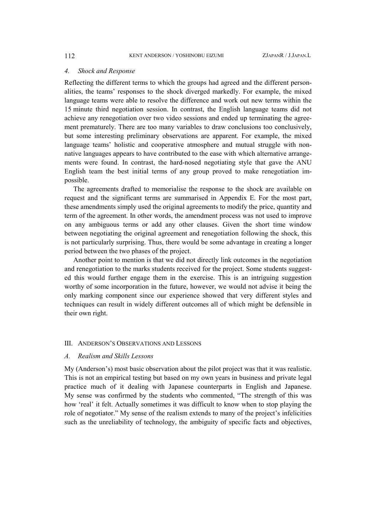### *4. Shock and Response*

Reflecting the different terms to which the groups had agreed and the different personalities, the teams' responses to the shock diverged markedly. For example, the mixed language teams were able to resolve the difference and work out new terms within the 15 minute third negotiation session. In contrast, the English language teams did not achieve any renegotiation over two video sessions and ended up terminating the agreement prematurely. There are too many variables to draw conclusions too conclusively, but some interesting preliminary observations are apparent. For example, the mixed language teams' holistic and cooperative atmosphere and mutual struggle with nonnative languages appears to have contributed to the ease with which alternative arrangements were found. In contrast, the hard-nosed negotiating style that gave the ANU English team the best initial terms of any group proved to make renegotiation impossible.

The agreements drafted to memorialise the response to the shock are available on request and the significant terms are summarised in Appendix E. For the most part, these amendments simply used the original agreements to modify the price, quantity and term of the agreement. In other words, the amendment process was not used to improve on any ambiguous terms or add any other clauses. Given the short time window between negotiating the original agreement and renegotiation following the shock, this is not particularly surprising. Thus, there would be some advantage in creating a longer period between the two phases of the project.

Another point to mention is that we did not directly link outcomes in the negotiation and renegotiation to the marks students received for the project. Some students suggested this would further engage them in the exercise. This is an intriguing suggestion worthy of some incorporation in the future, however, we would not advise it being the only marking component since our experience showed that very different styles and techniques can result in widely different outcomes all of which might be defensible in their own right.

### III. ANDERSON'S OBSERVATIONS AND LESSONS

## *A. Realism and Skills Lessons*

My (Anderson's) most basic observation about the pilot project was that it was realistic. This is not an empirical testing but based on my own years in business and private legal practice much of it dealing with Japanese counterparts in English and Japanese. My sense was confirmed by the students who commented, "The strength of this was how 'real' it felt. Actually sometimes it was difficult to know when to stop playing the role of negotiator." My sense of the realism extends to many of the project's infelicities such as the unreliability of technology, the ambiguity of specific facts and objectives,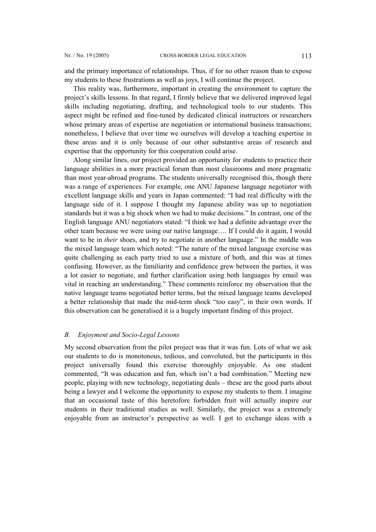and the primary importance of relationships. Thus, if for no other reason than to expose my students to these frustrations as well as joys, I will continue the project.

This reality was, furthermore, important in creating the environment to capture the project's skills lessons. In that regard, I firmly believe that we delivered improved legal skills including negotiating, drafting, and technological tools to our students. This aspect might be refined and fine-tuned by dedicated clinical instructors or researchers whose primary areas of expertise are negotiation or international business transactions; nonetheless, I believe that over time we ourselves will develop a teaching expertise in these areas and it is only because of our other substantive areas of research and expertise that the opportunity for this cooperation could arise.

Along similar lines, our project provided an opportunity for students to practice their language abilities in a more practical forum than most classrooms and more pragmatic than most year-abroad programs. The students universally recognised this, though there was a range of experiences. For example, one ANU Japanese language negotiator with excellent language skills and years in Japan commented: "I had real difficulty with the language side of it. I suppose I thought my Japanese ability was up to negotiation standards but it was a big shock when we had to make decisions." In contrast, one of the English language ANU negotiators stated: "I think we had a definite advantage over the other team because we were using our native language…. If I could do it again, I would want to be in *their* shoes, and try to negotiate in another language." In the middle was the mixed language team which noted: "The nature of the mixed language exercise was quite challenging as each party tried to use a mixture of both, and this was at times confusing. However, as the familiarity and confidence grew between the parties, it was a lot easier to negotiate, and further clarification using both languages by email was vital in reaching an understanding." These comments reinforce my observation that the native language teams negotiated better terms, but the mixed language teams developed a better relationship that made the mid-term shock "too easy", in their own words. If this observation can be generalised it is a hugely important finding of this project.

# *B. Enjoyment and Socio-Legal Lessons*

My second observation from the pilot project was that it was fun. Lots of what we ask our students to do is monotonous, tedious, and convoluted, but the participants in this project universally found this exercise thoroughly enjoyable. As one student commented, "It was education and fun, which isn't a bad combination." Meeting new people, playing with new technology, negotiating deals – these are the good parts about being a lawyer and I welcome the opportunity to expose my students to them. I imagine that an occasional taste of this heretofore forbidden fruit will actually inspire our students in their traditional studies as well. Similarly, the project was a extremely enjoyable from an instructor's perspective as well. I got to exchange ideas with a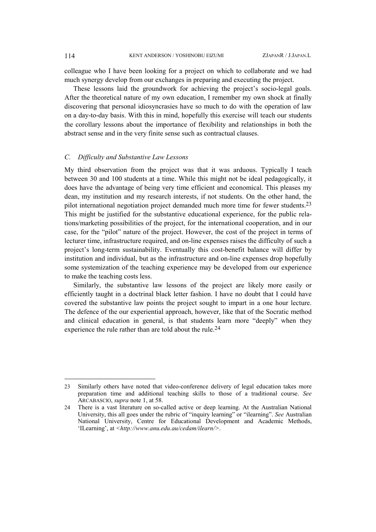colleague who I have been looking for a project on which to collaborate and we had much synergy develop from our exchanges in preparing and executing the project.

These lessons laid the groundwork for achieving the project's socio-legal goals. After the theoretical nature of my own education, I remember my own shock at finally discovering that personal idiosyncrasies have so much to do with the operation of law on a day-to-day basis. With this in mind, hopefully this exercise will teach our students the corollary lessons about the importance of flexibility and relationships in both the abstract sense and in the very finite sense such as contractual clauses.

# *C. Difficulty and Substantive Law Lessons*

My third observation from the project was that it was arduous. Typically I teach between 30 and 100 students at a time. While this might not be ideal pedagogically, it does have the advantage of being very time efficient and economical. This pleases my dean, my institution and my research interests, if not students. On the other hand, the pilot international negotiation project demanded much more time for fewer students.[23](#page-13-0) This might be justified for the substantive educational experience, for the public relations/marketing possibilities of the project, for the international cooperation, and in our case, for the "pilot" nature of the project. However, the cost of the project in terms of lecturer time, infrastructure required, and on-line expenses raises the difficulty of such a project's long-term sustainability. Eventually this cost-benefit balance will differ by institution and individual, but as the infrastructure and on-line expenses drop hopefully some systemization of the teaching experience may be developed from our experience to make the teaching costs less.

Similarly, the substantive law lessons of the project are likely more easily or efficiently taught in a doctrinal black letter fashion. I have no doubt that I could have covered the substantive law points the project sought to impart in a one hour lecture. The defence of the our experiential approach, however, like that of the Socratic method and clinical education in general, is that students learn more "deeply" when they experience the rule rather than are told about the rule.<sup>[24](#page-13-1)</sup>

<span id="page-13-0"></span><sup>23</sup> Similarly others have noted that video-conference delivery of legal education takes more preparation time and additional teaching skills to those of a traditional course. *See*  ARCABASCIO, *supra* note 1, at 58.

<span id="page-13-1"></span><sup>24</sup> There is a vast literature on so-called active or deep learning. At the Australian National University, this all goes under the rubric of "inquiry learning" or "ilearning". *See* Australian National University, Centre for Educational Development and Academic Methods, 'ILearning', at *<http://www.anu.edu.au/cedam/ilearn/>*.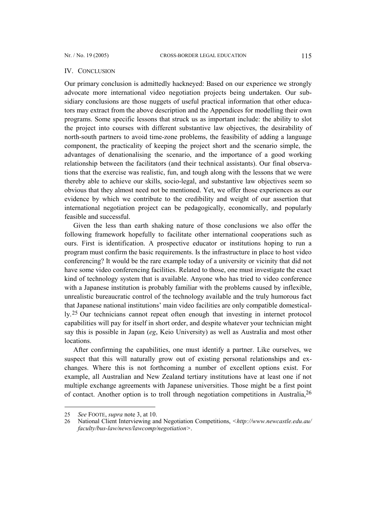#### IV. CONCLUSION

Our primary conclusion is admittedly hackneyed: Based on our experience we strongly advocate more international video negotiation projects being undertaken. Our subsidiary conclusions are those nuggets of useful practical information that other educators may extract from the above description and the Appendices for modelling their own programs. Some specific lessons that struck us as important include: the ability to slot the project into courses with different substantive law objectives, the desirability of north-south partners to avoid time-zone problems, the feasibility of adding a language component, the practicality of keeping the project short and the scenario simple, the advantages of denationalising the scenario, and the importance of a good working relationship between the facilitators (and their technical assistants). Our final observations that the exercise was realistic, fun, and tough along with the lessons that we were thereby able to achieve our skills, socio-legal, and substantive law objectives seem so obvious that they almost need not be mentioned. Yet, we offer those experiences as our evidence by which we contribute to the credibility and weight of our assertion that international negotiation project can be pedagogically, economically, and popularly feasible and successful.

Given the less than earth shaking nature of those conclusions we also offer the following framework hopefully to facilitate other international cooperations such as ours. First is identification. A prospective educator or institutions hoping to run a program must confirm the basic requirements. Is the infrastructure in place to host video conferencing? It would be the rare example today of a university or vicinity that did not have some video conferencing facilities. Related to those, one must investigate the exact kind of technology system that is available. Anyone who has tried to video conference with a Japanese institution is probably familiar with the problems caused by inflexible, unrealistic bureaucratic control of the technology available and the truly humorous fact that Japanese national institutions' main video facilities are only compatible domestically.[25](#page-14-0) Our technicians cannot repeat often enough that investing in internet protocol capabilities will pay for itself in short order, and despite whatever your technician might say this is possible in Japan (*eg*, Keio University) as well as Australia and most other locations.

After confirming the capabilities, one must identify a partner. Like ourselves, we suspect that this will naturally grow out of existing personal relationships and exchanges. Where this is not forthcoming a number of excellent options exist. For example, all Australian and New Zealand tertiary institutions have at least one if not multiple exchange agreements with Japanese universities. Those might be a first point of contact. Another option is to troll through negotiation competitions in Australia,  $2<sup>6</sup>$ 

<span id="page-14-0"></span><sup>25</sup> *See* FOOTE, *supra* note 3, at 10.

<span id="page-14-1"></span><sup>26</sup> National Client Interviewing and Negotiation Competitions, *<http://www.newcastle.edu.au/ faculty/bus-law/news/lawcomp/negotiation>*.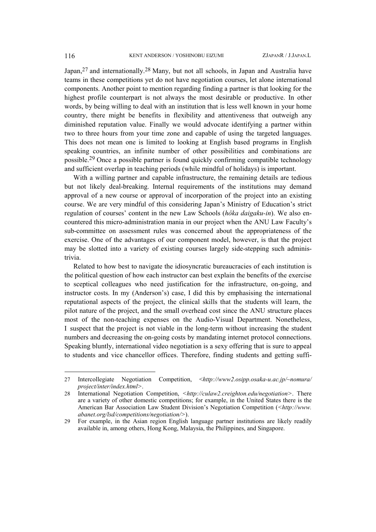Japan,<sup>27</sup> and internationally.<sup>[28](#page-15-1)</sup> Many, but not all schools, in Japan and Australia have teams in these competitions yet do not have negotiation courses, let alone international components. Another point to mention regarding finding a partner is that looking for the highest profile counterpart is not always the most desirable or productive. In other words, by being willing to deal with an institution that is less well known in your home country, there might be benefits in flexibility and attentiveness that outweigh any diminished reputation value. Finally we would advocate identifying a partner within two to three hours from your time zone and capable of using the targeted languages. This does not mean one is limited to looking at English based programs in English speaking countries, an infinite number of other possibilities and combinations are possible.[29](#page-15-2) Once a possible partner is found quickly confirming compatible technology and sufficient overlap in teaching periods (while mindful of holidays) is important.

With a willing partner and capable infrastructure, the remaining details are tedious but not likely deal-breaking. Internal requirements of the institutions may demand approval of a new course or approval of incorporation of the project into an existing course. We are very mindful of this considering Japan's Ministry of Education's strict regulation of courses' content in the new Law Schools (*hôka daigaku-in*). We also encountered this micro-administration mania in our project when the ANU Law Faculty's sub-committee on assessment rules was concerned about the appropriateness of the exercise. One of the advantages of our component model, however, is that the project may be slotted into a variety of existing courses largely side-stepping such administrivia.

Related to how best to navigate the idiosyncratic bureaucracies of each institution is the political question of how each instructor can best explain the benefits of the exercise to sceptical colleagues who need justification for the infrastructure, on-going, and instructor costs. In my (Anderson's) case, I did this by emphasising the international reputational aspects of the project, the clinical skills that the students will learn, the pilot nature of the project, and the small overhead cost since the ANU structure places most of the non-teaching expenses on the Audio-Visual Department. Nonetheless, I suspect that the project is not viable in the long-term without increasing the student numbers and decreasing the on-going costs by mandating internet protocol connections. Speaking bluntly, international video negotiation is a sexy offering that is sure to appeal to students and vice chancellor offices. Therefore, finding students and getting suffi-

<span id="page-15-0"></span><sup>27</sup> Intercollegiate Negotiation Competition, <*http://www2.osipp.osaka-u.ac.jp/~nomura/ project/inter/index.html>*.

<span id="page-15-1"></span><sup>28</sup> International Negotiation Competition, *<http://culaw2.creighton.edu/negotiation>*. There are a variety of other domestic competitions; for example, in the United States there is the American Bar Association Law Student Division's Negotiation Competition (*<http://www. abanet.org/lsd/competitions/negotiation/>*).

<span id="page-15-2"></span><sup>29</sup> For example, in the Asian region English language partner institutions are likely readily available in, among others, Hong Kong, Malaysia, the Philippines, and Singapore.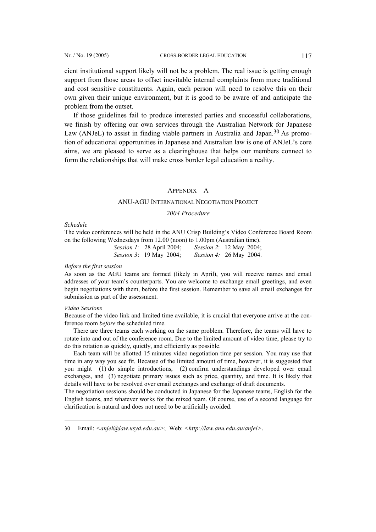cient institutional support likely will not be a problem. The real issue is getting enough support from those areas to offset inevitable internal complaints from more traditional and cost sensitive constituents. Again, each person will need to resolve this on their own given their unique environment, but it is good to be aware of and anticipate the problem from the outset.

If those guidelines fail to produce interested parties and successful collaborations, we finish by offering our own services through the Australian Network for Japanese Law (ANJeL) to assist in finding viable partners in Australia and Japan.<sup>30</sup> As promotion of educational opportunities in Japanese and Australian law is one of ANJeL's core aims, we are pleased to serve as a clearinghouse that helps our members connect to form the relationships that will make cross border legal education a reality.

# APPENDIX A

### ANU-AGU INTERNATIONAL NEGOTIATION PROJECT

# *2004 Procedure*

#### *Schedule*

The video conferences will be held in the ANU Crisp Building's Video Conference Board Room on the following Wednesdays from 12.00 (noon) to 1.00pm (Australian time).

| <i>Session 1:</i> 28 April 2004; | <i>Session 2</i> : 12 May 2004; |
|----------------------------------|---------------------------------|
| <i>Session 3</i> : 19 May 2004;  | Session 4: 26 May 2004.         |

# *Before the first session*

As soon as the AGU teams are formed (likely in April), you will receive names and email addresses of your team's counterparts. You are welcome to exchange email greetings, and even begin negotiations with them, before the first session. Remember to save all email exchanges for submission as part of the assessment.

### *Video Sessions*

l

Because of the video link and limited time available, it is crucial that everyone arrive at the conference room *before* the scheduled time.

There are three teams each working on the same problem. Therefore, the teams will have to rotate into and out of the conference room. Due to the limited amount of video time, please try to do this rotation as quickly, quietly, and efficiently as possible.

Each team will be allotted 15 minutes video negotiation time per session. You may use that time in any way you see fit. Because of the limited amount of time, however, it is suggested that you might (1) do simple introductions, (2) confirm understandings developed over email exchanges, and (3) negotiate primary issues such as price, quantity, and time. It is likely that details will have to be resolved over email exchanges and exchange of draft documents.

The negotiation sessions should be conducted in Japanese for the Japanese teams, English for the English teams, and whatever works for the mixed team. Of course, use of a second language for clarification is natural and does not need to be artificially avoided.

<span id="page-16-0"></span><sup>30</sup> Email: *<anjel@law.usyd.edu.au>*; Web: *<http://law.anu.edu.au/anjel>*.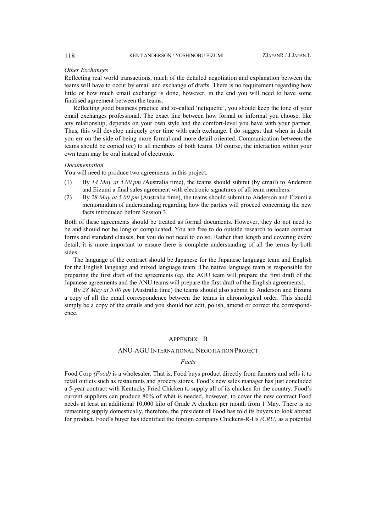#### *Other Exchanges*

Reflecting real world transactions, much of the detailed negotiation and explanation between the teams will have to occur by email and exchange of drafts. There is no requirement regarding how little or how much email exchange is done, however, in the end you will need to have some finalised agreement between the teams.

Reflecting good business practice and so-called 'netiquette', you should keep the tone of your email exchanges professional. The exact line between how formal or informal you choose, like any relationship, depends on your own style and the comfort-level you have with your partner. Thus, this will develop uniquely over time with each exchange. I do suggest that when in doubt you err on the side of being more formal and more detail oriented. Communication between the teams should be copied (cc) to all members of both teams. Of course, the interaction within your own team may be oral instead of electronic.

#### *Documentation*

You will need to produce two agreements in this project.

- (1) By *14 May at 5.00 pm (*Australia time), the teams should submit (by email) to Anderson and Eizumi a final sales agreement with electronic signatures of all team members.
- (2) By *28 May at 5.00 pm* (Australia time), the teams should submit to Anderson and Eizumi a memorandum of understanding regarding how the parties will proceed concerning the new facts introduced before Session 3.

Both of these agreements should be treated as formal documents. However, they do not need to be and should not be long or complicated. You are free to do outside research to locate contract forms and standard clauses, but you do not need to do so. Rather than length and covering every detail, it is more important to ensure there is complete understanding of all the terms by both sides.

The language of the contract should be Japanese for the Japanese language team and English for the English language and mixed language team. The native language team is responsible for preparing the first draft of the agreements (eg, the AGU team will prepare the first draft of the Japanese agreements and the ANU teams will prepare the first draft of the English agreements).

By *28 May at 5.00 pm* (Australia time) the teams should also submit to Anderson and Eizumi a copy of all the email correspondence between the teams in chronological order. This should simply be a copy of the emails and you should not edit, polish, amend or correct the correspondence.

### APPENDIX B

#### ANU-AGU INTERNATIONAL NEGOTIATION PROJECT

# *Facts*

Food Corp *(Food)* is a wholesaler. That is, Food buys product directly from farmers and sells it to retail outlets such as restaurants and grocery stores. Food's new sales manager has just concluded a 5-year contract with Kentucky Fried Chicken to supply all of its chicken for the country. Food's current suppliers can produce 80% of what is needed, however, to cover the new contract Food needs at least an additional 10,000 kilo of Grade A chicken per month from 1 May. There is no remaining supply domestically, therefore, the president of Food has told its buyers to look abroad for product. Food's buyer has identified the foreign company Chickens-R-Us *(CRU)* as a potential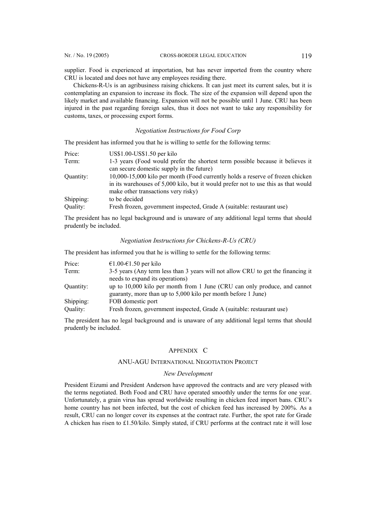supplier. Food is experienced at importation, but has never imported from the country where CRU is located and does not have any employees residing there.

Chickens-R-Us is an agribusiness raising chickens. It can just meet its current sales, but it is contemplating an expansion to increase its flock. The size of the expansion will depend upon the likely market and available financing. Expansion will not be possible until 1 June. CRU has been injured in the past regarding foreign sales, thus it does not want to take any responsibility for customs, taxes, or processing export forms.

# *Negotiation Instructions for Food Corp*

The president has informed you that he is willing to settle for the following terms:

| Price:    | US\$1.00-US\$1.50 per kilo                                                         |
|-----------|------------------------------------------------------------------------------------|
| Term:     | 1-3 years (Food would prefer the shortest term possible because it believes it     |
|           | can secure domestic supply in the future)                                          |
| Ouantity: | 10,000-15,000 kilo per month (Food currently holds a reserve of frozen chicken     |
|           | in its warehouses of 5,000 kilo, but it would prefer not to use this as that would |
|           | make other transactions very risky)                                                |
| Shipping: | to be decided                                                                      |
| Quality:  | Fresh frozen, government inspected, Grade A (suitable: restaurant use)             |
|           |                                                                                    |

The president has no legal background and is unaware of any additional legal terms that should prudently be included.

# *Negotiation Instructions for Chickens-R-Us (CRU)*

The president has informed you that he is willing to settle for the following terms:

| Price:    | €1.00-€1.50 per kilo                                                             |
|-----------|----------------------------------------------------------------------------------|
| Term:     | 3-5 years (Any term less than 3 years will not allow CRU to get the financing it |
|           | needs to expand its operations)                                                  |
| Ouantity: | up to 10,000 kilo per month from 1 June (CRU can only produce, and cannot        |
|           | guaranty, more than up to 5,000 kilo per month before 1 June)                    |
| Shipping: | FOB domestic port                                                                |
| Quality:  | Fresh frozen, government inspected, Grade A (suitable: restaurant use)           |

The president has no legal background and is unaware of any additional legal terms that should prudently be included.

# APPENDIX C

# ANU-AGU INTERNATIONAL NEGOTIATION PROJECT

#### *New Development*

President Eizumi and President Anderson have approved the contracts and are very pleased with the terms negotiated. Both Food and CRU have operated smoothly under the terms for one year. Unfortunately, a grain virus has spread worldwide resulting in chicken feed import bans. CRU's home country has not been infected, but the cost of chicken feed has increased by 200%. As a result, CRU can no longer cover its expenses at the contract rate. Further, the spot rate for Grade A chicken has risen to £1.50/kilo. Simply stated, if CRU performs at the contract rate it will lose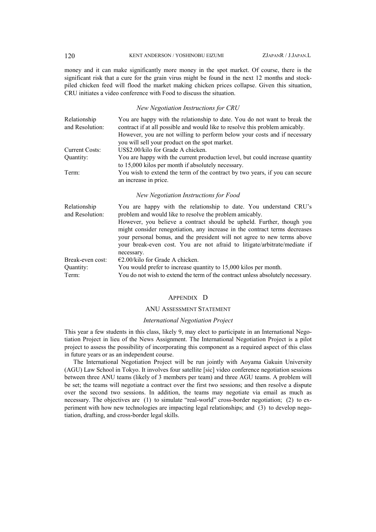money and it can make significantly more money in the spot market. Of course, there is the significant risk that a cure for the grain virus might be found in the next 12 months and stockpiled chicken feed will flood the market making chicken prices collapse. Given this situation, CRU initiates a video conference with Food to discuss the situation.

### *New Negotiation Instructions for CRU*

| Relationship<br>and Resolution: | You are happy with the relationship to date. You do not want to break the<br>contract if at all possible and would like to resolve this problem amicably.                                                                                                                                                                  |  |  |  |
|---------------------------------|----------------------------------------------------------------------------------------------------------------------------------------------------------------------------------------------------------------------------------------------------------------------------------------------------------------------------|--|--|--|
|                                 | However, you are not willing to perform below your costs and if necessary<br>you will sell your product on the spot market.                                                                                                                                                                                                |  |  |  |
| <b>Current Costs:</b>           | US\$2.00/kilo for Grade A chicken.                                                                                                                                                                                                                                                                                         |  |  |  |
| Quantity:                       | You are happy with the current production level, but could increase quantity<br>to 15,000 kilos per month if absolutely necessary.                                                                                                                                                                                         |  |  |  |
| Term:                           | You wish to extend the term of the contract by two years, if you can secure<br>an increase in price.                                                                                                                                                                                                                       |  |  |  |
|                                 | New Negotiation Instructions for Food                                                                                                                                                                                                                                                                                      |  |  |  |
| Relationship<br>and Resolution: | You are happy with the relationship to date. You understand CRU's<br>problem and would like to resolve the problem amicably.                                                                                                                                                                                               |  |  |  |
|                                 | However, you believe a contract should be upheld. Further, though you<br>might consider renegotiation, any increase in the contract terms decreases<br>your personal bonus, and the president will not agree to new terms above<br>your break-even cost. You are not afraid to litigate/arbitrate/mediate if<br>necessary. |  |  |  |
| Break-even cost:                | $\epsilon$ 2.00/kilo for Grade A chicken.                                                                                                                                                                                                                                                                                  |  |  |  |
| Quantity:                       | You would prefer to increase quantity to 15,000 kilos per month.                                                                                                                                                                                                                                                           |  |  |  |
| Term:                           | You do not wish to extend the term of the contract unless absolutely necessary.                                                                                                                                                                                                                                            |  |  |  |

#### APPENDIX D

### ANU ASSESSMENT STATEMENT

# *International Negotiation Project*

This year a few students in this class, likely 9, may elect to participate in an International Negotiation Project in lieu of the News Assignment. The International Negotiation Project is a pilot project to assess the possibility of incorporating this component as a required aspect of this class in future years or as an independent course.

The International Negotiation Project will be run jointly with Aoyama Gakuin University (AGU) Law School in Tokyo. It involves four satellite [sic] video conference negotiation sessions between three ANU teams (likely of 3 members per team) and three AGU teams. A problem will be set; the teams will negotiate a contract over the first two sessions; and then resolve a dispute over the second two sessions. In addition, the teams may negotiate via email as much as necessary. The objectives are (1) to simulate "real-world" cross-border negotiation; (2) to experiment with how new technologies are impacting legal relationships; and (3) to develop negotiation, drafting, and cross-border legal skills.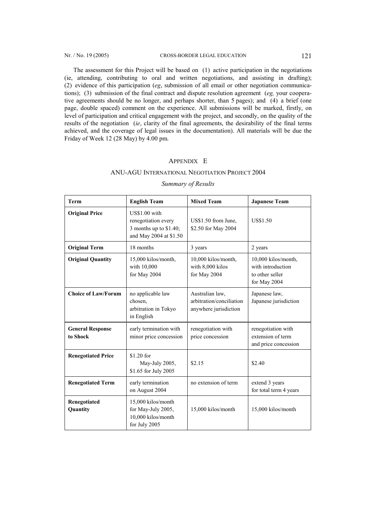The assessment for this Project will be based on (1) active participation in the negotiations (ie, attending, contributing to oral and written negotiations, and assisting in drafting); (2) evidence of this participation (*eg*, submission of all email or other negotiation communications); (3) submission of the final contract and dispute resolution agreement (*eg,* your cooperative agreements should be no longer, and perhaps shorter, than 5 pages); and (4) a brief (one page, double spaced) comment on the experience. All submissions will be marked, firstly, on level of participation and critical engagement with the project, and secondly, on the quality of the results of the negotiation (*ie*, clarity of the final agreements, the desirability of the final terms achieved, and the coverage of legal issues in the documentation). All materials will be due the Friday of Week 12 (28 May) by 4.00 pm.

# APPENDIX E

# ANU-AGU INTERNATIONAL NEGOTIATION PROJECT 2004

| <b>Term</b>                         | <b>English Team</b>                                                                      | <b>Mixed Team</b>                                                    | <b>Japanese Team</b>                                                        |
|-------------------------------------|------------------------------------------------------------------------------------------|----------------------------------------------------------------------|-----------------------------------------------------------------------------|
| <b>Original Price</b>               | US\$1.00 with<br>renegotiation every<br>3 months up to \$1.40;<br>and May 2004 at \$1.50 | US\$1.50 from June,<br>\$2.50 for May 2004                           | US\$1.50                                                                    |
| <b>Original Term</b>                | 18 months                                                                                | 3 years                                                              | 2 years                                                                     |
| <b>Original Quantity</b>            | 15,000 kilos/month,<br>with 10,000<br>for May 2004                                       | 10,000 kilos/month,<br>with 8,000 kilos<br>for May 2004              | 10,000 kilos/month,<br>with introduction<br>to other seller<br>for May 2004 |
| <b>Choice of Law/Forum</b>          | no applicable law<br>chosen,<br>arbitration in Tokyo<br>in English                       | Australian law,<br>arbitration/conciliation<br>anywhere jurisdiction | Japanese law,<br>Japanese jurisdiction                                      |
| <b>General Response</b><br>to Shock | early termination with<br>minor price concession                                         | renegotiation with<br>price concession                               | renegotiation with<br>extension of term<br>and price concession             |
| <b>Renegotiated Price</b>           | \$1.20 for<br>May-July 2005,<br>\$1.65 for July 2005                                     | \$2.15                                                               | \$2.40                                                                      |
| <b>Renegotiated Term</b>            | early termination<br>on August 2004                                                      | no extension of term                                                 | extend 3 years<br>for total term 4 years                                    |
| Renegotiated<br>Quantity            | 15,000 kilos/month<br>for May-July 2005,<br>10,000 kilos/month<br>for July 2005          | 15,000 kilos/month                                                   | 15,000 kilos/month                                                          |

# *Summary of Results*